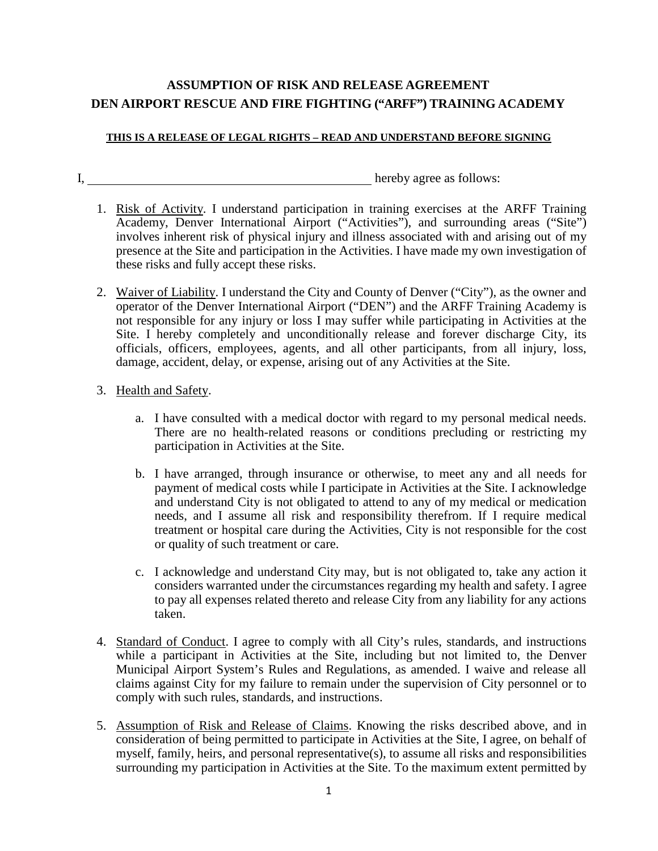## **ASSUMPTION OF RISK AND RELEASE AGREEMENT DEN AIRPORT RESCUE AND FIRE FIGHTING ("ARFF") TRAINING ACADEMY**

## **THIS IS A RELEASE OF LEGAL RIGHTS – READ AND UNDERSTAND BEFORE SIGNING**

I, hereby agree as follows:

- 1. Risk of Activity. I understand participation in training exercises at the ARFF Training Academy, Denver International Airport ("Activities"), and surrounding areas ("Site") involves inherent risk of physical injury and illness associated with and arising out of my presence at the Site and participation in the Activities. I have made my own investigation of these risks and fully accept these risks.
- 2. Waiver of Liability. I understand the City and County of Denver ("City"), as the owner and operator of the Denver International Airport ("DEN") and the ARFF Training Academy is not responsible for any injury or loss I may suffer while participating in Activities at the Site. I hereby completely and unconditionally release and forever discharge City, its officials, officers, employees, agents, and all other participants, from all injury, loss, damage, accident, delay, or expense, arising out of any Activities at the Site.

## 3. Health and Safety.

- a. I have consulted with a medical doctor with regard to my personal medical needs. There are no health-related reasons or conditions precluding or restricting my participation in Activities at the Site.
- b. I have arranged, through insurance or otherwise, to meet any and all needs for payment of medical costs while I participate in Activities at the Site. I acknowledge and understand City is not obligated to attend to any of my medical or medication needs, and I assume all risk and responsibility therefrom. If I require medical treatment or hospital care during the Activities, City is not responsible for the cost or quality of such treatment or care.
- c. I acknowledge and understand City may, but is not obligated to, take any action it considers warranted under the circumstances regarding my health and safety. I agree to pay all expenses related thereto and release City from any liability for any actions taken.
- 4. Standard of Conduct. I agree to comply with all City's rules, standards, and instructions while a participant in Activities at the Site, including but not limited to, the Denver Municipal Airport System's Rules and Regulations, as amended. I waive and release all claims against City for my failure to remain under the supervision of City personnel or to comply with such rules, standards, and instructions.
- 5. Assumption of Risk and Release of Claims. Knowing the risks described above, and in consideration of being permitted to participate in Activities at the Site, I agree, on behalf of myself, family, heirs, and personal representative(s), to assume all risks and responsibilities surrounding my participation in Activities at the Site. To the maximum extent permitted by